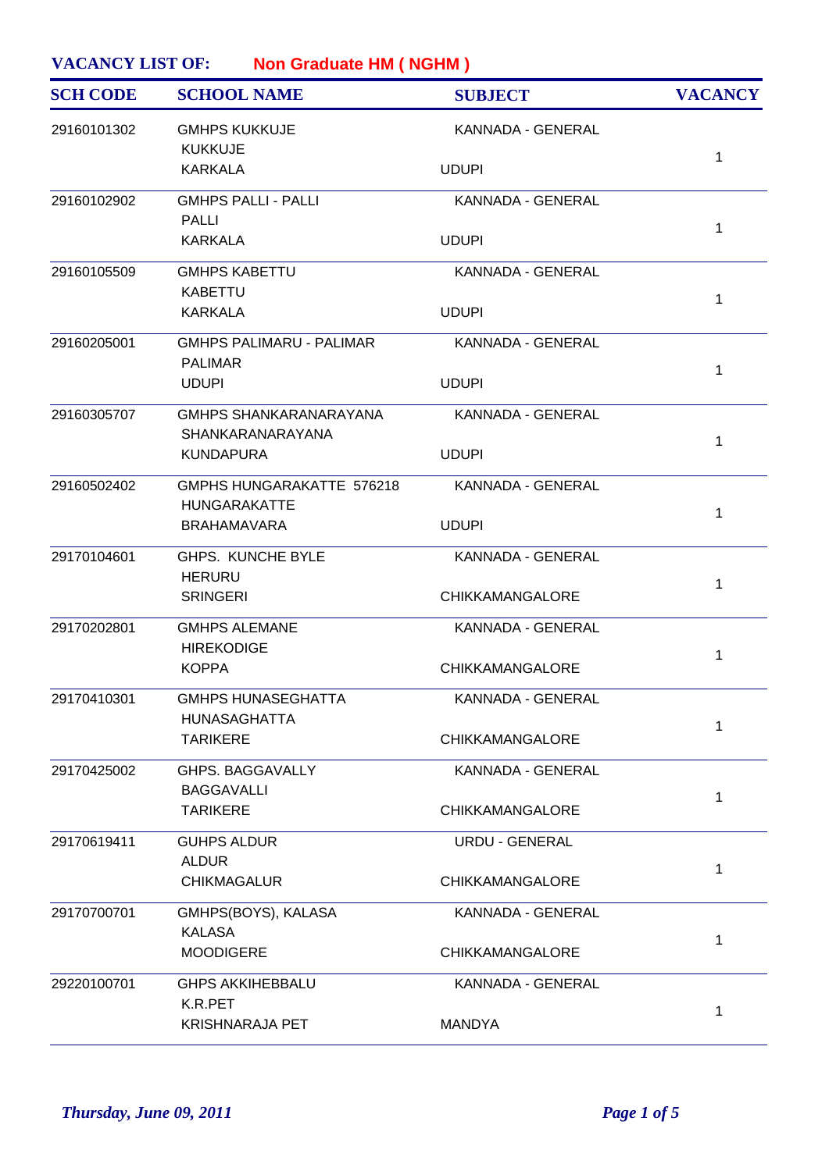| <b>VACANCY LIST OF:</b><br><b>Non Graduate HM (NGHM)</b> |                                                   |                          |                |
|----------------------------------------------------------|---------------------------------------------------|--------------------------|----------------|
| <b>SCH CODE</b>                                          | <b>SCHOOL NAME</b>                                | <b>SUBJECT</b>           | <b>VACANCY</b> |
| 29160101302                                              | <b>GMHPS KUKKUJE</b><br><b>KUKKUJE</b>            | KANNADA - GENERAL        | 1              |
|                                                          | <b>KARKALA</b>                                    | <b>UDUPI</b>             |                |
| 29160102902                                              | <b>GMHPS PALLI - PALLI</b><br><b>PALLI</b>        | KANNADA - GENERAL        |                |
|                                                          | <b>KARKALA</b>                                    | <b>UDUPI</b>             | 1              |
| 29160105509                                              | <b>GMHPS KABETTU</b><br><b>KABETTU</b>            | <b>KANNADA - GENERAL</b> | 1              |
|                                                          | <b>KARKALA</b>                                    | <b>UDUPI</b>             |                |
| 29160205001                                              | <b>GMHPS PALIMARU - PALIMAR</b><br><b>PALIMAR</b> | <b>KANNADA - GENERAL</b> |                |
|                                                          | <b>UDUPI</b>                                      | <b>UDUPI</b>             | 1              |
| 29160305707                                              | <b>GMHPS SHANKARANARAYANA</b><br>SHANKARANARAYANA | KANNADA - GENERAL        | 1              |
|                                                          | <b>KUNDAPURA</b>                                  | <b>UDUPI</b>             |                |
| 29160502402                                              | GMPHS HUNGARAKATTE 576218<br><b>HUNGARAKATTE</b>  | KANNADA - GENERAL        |                |
|                                                          | <b>BRAHAMAVARA</b>                                | <b>UDUPI</b>             | 1              |
| 29170104601                                              | <b>GHPS. KUNCHE BYLE</b><br><b>HERURU</b>         | <b>KANNADA - GENERAL</b> | 1              |
|                                                          | <b>SRINGERI</b>                                   | <b>CHIKKAMANGALORE</b>   |                |
| 29170202801                                              | <b>GMHPS ALEMANE</b><br><b>HIREKODIGE</b>         | KANNADA - GENERAL        | 1              |
|                                                          | <b>KOPPA</b>                                      | <b>CHIKKAMANGALORE</b>   |                |
| 29170410301                                              | <b>GMHPS HUNASEGHATTA</b><br><b>HUNASAGHATTA</b>  | KANNADA - GENERAL        |                |
|                                                          | <b>TARIKERE</b>                                   | <b>CHIKKAMANGALORE</b>   | 1              |
| 29170425002                                              | GHPS. BAGGAVALLY<br><b>BAGGAVALLI</b>             | KANNADA - GENERAL        |                |
|                                                          | <b>TARIKERE</b>                                   | <b>CHIKKAMANGALORE</b>   | 1              |
| 29170619411                                              | <b>GUHPS ALDUR</b><br><b>ALDUR</b>                | <b>URDU - GENERAL</b>    |                |
|                                                          | <b>CHIKMAGALUR</b>                                | <b>CHIKKAMANGALORE</b>   | 1              |
| 29170700701                                              | GMHPS(BOYS), KALASA<br><b>KALASA</b>              | KANNADA - GENERAL        |                |
|                                                          | <b>MOODIGERE</b>                                  | <b>CHIKKAMANGALORE</b>   | 1              |
| 29220100701                                              | <b>GHPS AKKIHEBBALU</b><br>K.R.PET                | KANNADA - GENERAL        |                |
|                                                          | <b>KRISHNARAJA PET</b>                            | <b>MANDYA</b>            | 1              |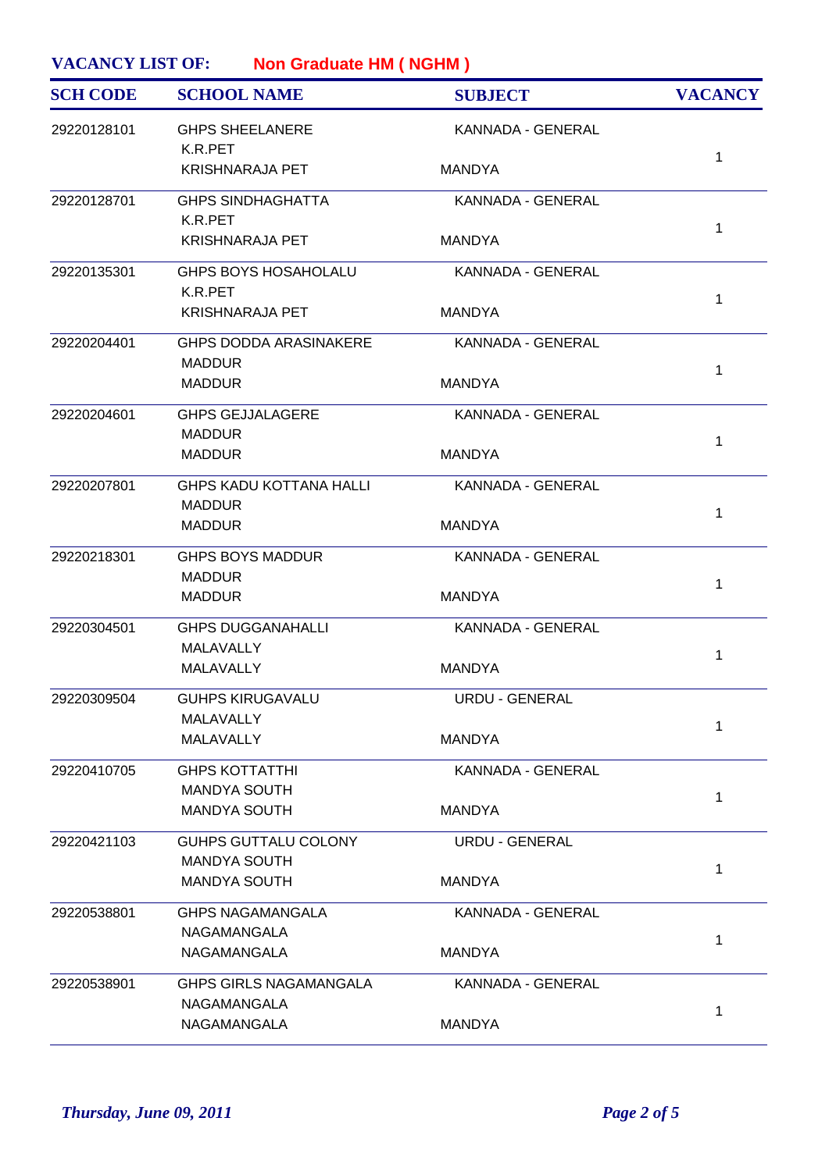| <b>SCH CODE</b> | <b>SCHOOL NAME</b>                              | <b>SUBJECT</b>        | <b>VACANCY</b> |
|-----------------|-------------------------------------------------|-----------------------|----------------|
| 29220128101     | <b>GHPS SHEELANERE</b><br>K.R.PET               | KANNADA - GENERAL     |                |
|                 | <b>KRISHNARAJA PET</b>                          | <b>MANDYA</b>         | $\mathbf{1}$   |
| 29220128701     | <b>GHPS SINDHAGHATTA</b>                        | KANNADA - GENERAL     |                |
|                 | K.R.PET<br><b>KRISHNARAJA PET</b>               | <b>MANDYA</b>         | 1              |
| 29220135301     | <b>GHPS BOYS HOSAHOLALU</b><br>K.R.PET          | KANNADA - GENERAL     |                |
|                 | <b>KRISHNARAJA PET</b>                          | <b>MANDYA</b>         | $\mathbf{1}$   |
| 29220204401     | <b>GHPS DODDA ARASINAKERE</b><br><b>MADDUR</b>  | KANNADA - GENERAL     |                |
|                 | <b>MADDUR</b>                                   | <b>MANDYA</b>         | 1              |
| 29220204601     | <b>GHPS GEJJALAGERE</b><br><b>MADDUR</b>        | KANNADA - GENERAL     |                |
|                 | <b>MADDUR</b>                                   | <b>MANDYA</b>         | $\mathbf 1$    |
| 29220207801     | <b>GHPS KADU KOTTANA HALLI</b><br><b>MADDUR</b> | KANNADA - GENERAL     |                |
|                 | <b>MADDUR</b>                                   | <b>MANDYA</b>         | $\mathbf{1}$   |
| 29220218301     | <b>GHPS BOYS MADDUR</b>                         | KANNADA - GENERAL     |                |
|                 | <b>MADDUR</b><br><b>MADDUR</b>                  | <b>MANDYA</b>         | 1              |
| 29220304501     | <b>GHPS DUGGANAHALLI</b><br><b>MALAVALLY</b>    | KANNADA - GENERAL     |                |
|                 | <b>MALAVALLY</b>                                | <b>MANDYA</b>         | $\mathbf 1$    |
| 29220309504     | <b>GUHPS KIRUGAVALU</b>                         | URDU - GENERAL        |                |
|                 | MALAVALLY<br>MALAVALLY                          | <b>MANDYA</b>         | 1              |
| 29220410705     | <b>GHPS KOTTATTHI</b>                           | KANNADA - GENERAL     |                |
|                 | <b>MANDYA SOUTH</b><br>MANDYA SOUTH             | <b>MANDYA</b>         | $\mathbf 1$    |
| 29220421103     | GUHPS GUTTALU COLONY                            | <b>URDU - GENERAL</b> |                |
|                 | <b>MANDYA SOUTH</b><br><b>MANDYA SOUTH</b>      | <b>MANDYA</b>         | 1              |
| 29220538801     | <b>GHPS NAGAMANGALA</b>                         | KANNADA - GENERAL     |                |
|                 | NAGAMANGALA<br>NAGAMANGALA                      | <b>MANDYA</b>         | $\mathbf 1$    |
| 29220538901     | <b>GHPS GIRLS NAGAMANGALA</b>                   | KANNADA - GENERAL     |                |
|                 | NAGAMANGALA<br>NAGAMANGALA                      | <b>MANDYA</b>         | 1              |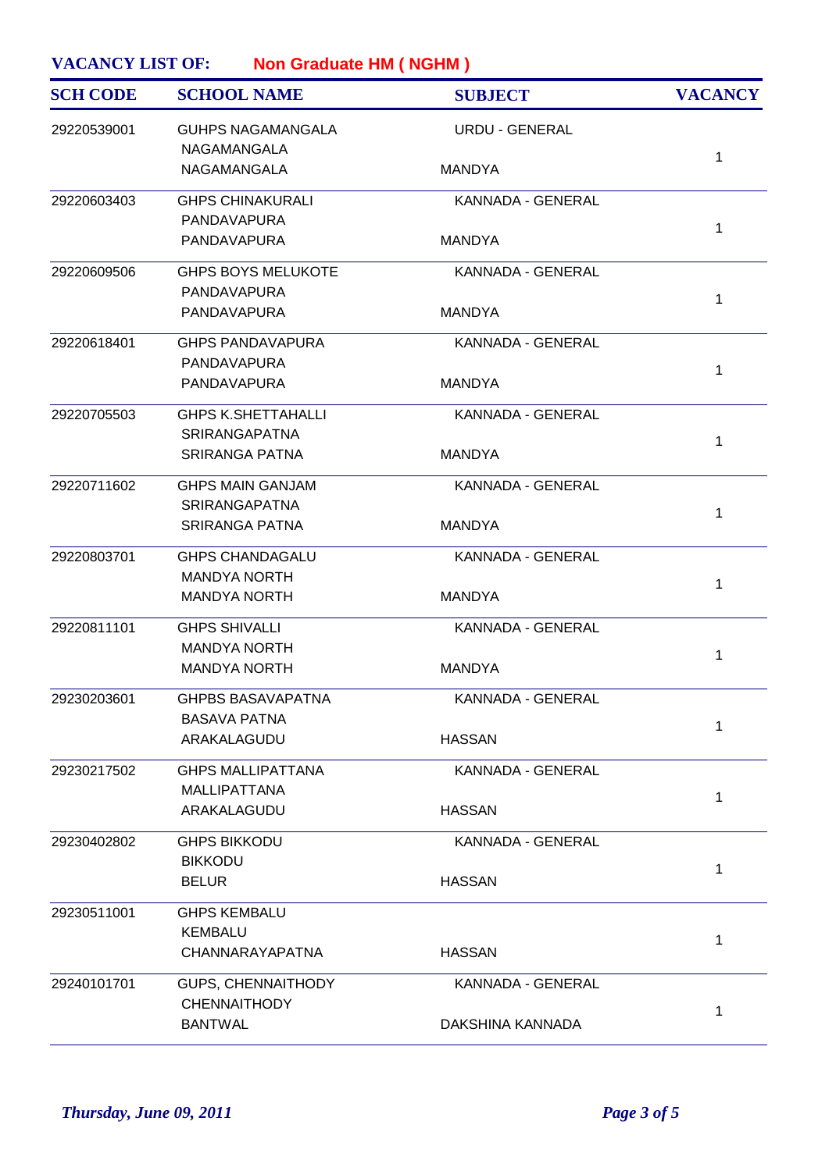| <b>SCH CODE</b> | <b>SCHOOL NAME</b>                                | <b>SUBJECT</b>        | <b>VACANCY</b> |
|-----------------|---------------------------------------------------|-----------------------|----------------|
| 29220539001     | <b>GUHPS NAGAMANGALA</b><br>NAGAMANGALA           | <b>URDU - GENERAL</b> |                |
|                 | NAGAMANGALA                                       | <b>MANDYA</b>         | 1              |
| 29220603403     | <b>GHPS CHINAKURALI</b>                           | KANNADA - GENERAL     |                |
|                 | <b>PANDAVAPURA</b><br>PANDAVAPURA                 | <b>MANDYA</b>         | $\mathbf{1}$   |
| 29220609506     | <b>GHPS BOYS MELUKOTE</b><br>PANDAVAPURA          | KANNADA - GENERAL     |                |
|                 | PANDAVAPURA                                       | <b>MANDYA</b>         | 1              |
| 29220618401     | <b>GHPS PANDAVAPURA</b><br>PANDAVAPURA            | KANNADA - GENERAL     |                |
|                 | <b>PANDAVAPURA</b>                                | <b>MANDYA</b>         | 1              |
| 29220705503     | <b>GHPS K.SHETTAHALLI</b><br><b>SRIRANGAPATNA</b> | KANNADA - GENERAL     | 1              |
|                 | <b>SRIRANGA PATNA</b>                             | <b>MANDYA</b>         |                |
| 29220711602     | <b>GHPS MAIN GANJAM</b><br><b>SRIRANGAPATNA</b>   | KANNADA - GENERAL     | $\mathbf{1}$   |
|                 | <b>SRIRANGA PATNA</b>                             | <b>MANDYA</b>         |                |
| 29220803701     | <b>GHPS CHANDAGALU</b>                            | KANNADA - GENERAL     |                |
|                 | <b>MANDYA NORTH</b><br><b>MANDYA NORTH</b>        | <b>MANDYA</b>         | 1              |
| 29220811101     | <b>GHPS SHIVALLI</b>                              | KANNADA - GENERAL     |                |
|                 | <b>MANDYA NORTH</b><br><b>MANDYA NORTH</b>        | <b>MANDYA</b>         | 1              |
| 29230203601     | <b>GHPBS BASAVAPATNA</b>                          | KANNADA - GENERAL     |                |
|                 | <b>BASAVA PATNA</b>                               |                       | 1              |
|                 | ARAKALAGUDU                                       | <b>HASSAN</b>         |                |
| 29230217502     | <b>GHPS MALLIPATTANA</b>                          | KANNADA - GENERAL     |                |
|                 | <b>MALLIPATTANA</b><br>ARAKALAGUDU                | <b>HASSAN</b>         | 1              |
| 29230402802     | <b>GHPS BIKKODU</b>                               | KANNADA - GENERAL     |                |
|                 | <b>BIKKODU</b>                                    |                       | 1              |
|                 | <b>BELUR</b>                                      | <b>HASSAN</b>         |                |
| 29230511001     | <b>GHPS KEMBALU</b>                               |                       |                |
|                 | <b>KEMBALU</b><br>CHANNARAYAPATNA                 | <b>HASSAN</b>         | 1              |
| 29240101701     | <b>GUPS, CHENNAITHODY</b>                         | KANNADA - GENERAL     |                |
|                 | <b>CHENNAITHODY</b><br><b>BANTWAL</b>             | DAKSHINA KANNADA      | 1              |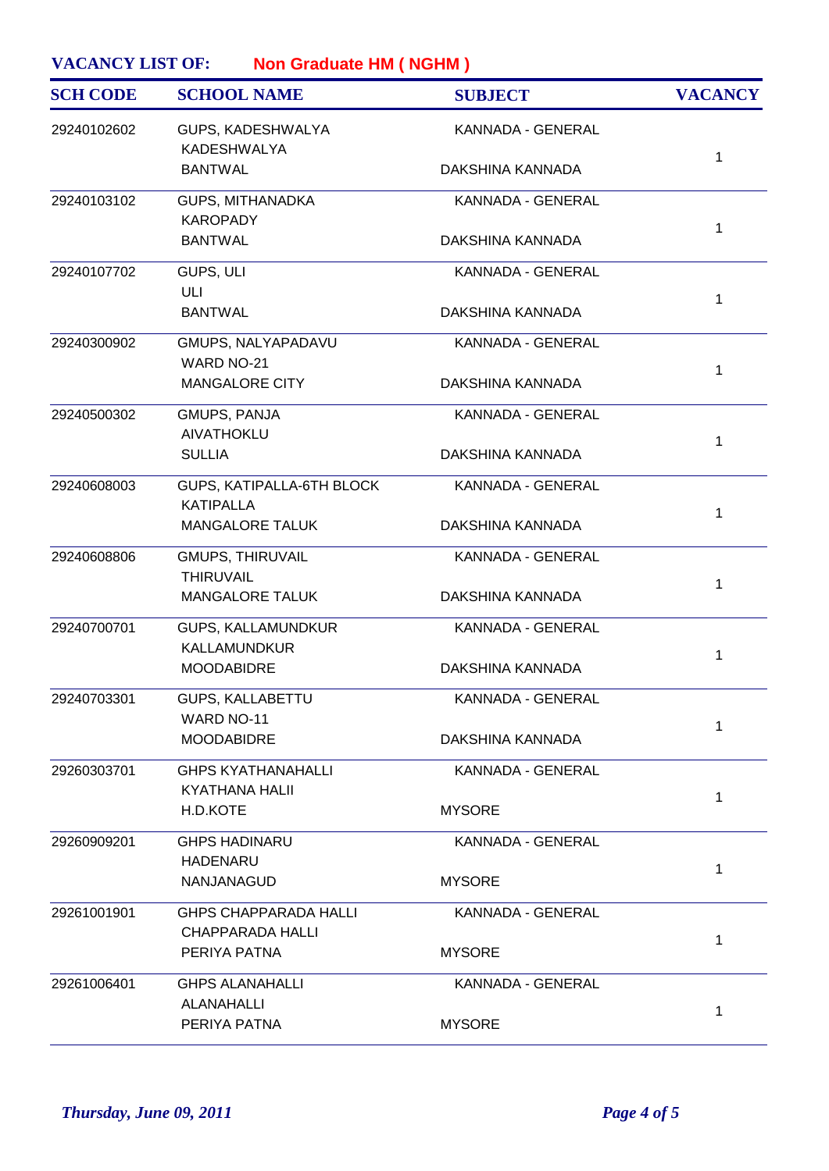| <b>SCH CODE</b> | <b>SCHOOL NAME</b>                            | <b>SUBJECT</b>    | <b>VACANCY</b> |
|-----------------|-----------------------------------------------|-------------------|----------------|
| 29240102602     | GUPS, KADESHWALYA<br><b>KADESHWALYA</b>       | KANNADA - GENERAL | 1              |
|                 | <b>BANTWAL</b>                                | DAKSHINA KANNADA  |                |
| 29240103102     | GUPS, MITHANADKA<br><b>KAROPADY</b>           | KANNADA - GENERAL |                |
|                 | <b>BANTWAL</b>                                | DAKSHINA KANNADA  | $\mathbf{1}$   |
| 29240107702     | GUPS, ULI<br>ULI                              | KANNADA - GENERAL |                |
|                 | <b>BANTWAL</b>                                | DAKSHINA KANNADA  | 1              |
| 29240300902     | GMUPS, NALYAPADAVU<br>WARD NO-21              | KANNADA - GENERAL |                |
|                 | <b>MANGALORE CITY</b>                         | DAKSHINA KANNADA  | $\mathbf 1$    |
| 29240500302     | GMUPS, PANJA<br>AIVATHOKLU                    | KANNADA - GENERAL |                |
|                 | <b>SULLIA</b>                                 | DAKSHINA KANNADA  | 1              |
| 29240608003     | GUPS, KATIPALLA-6TH BLOCK<br><b>KATIPALLA</b> | KANNADA - GENERAL |                |
|                 | <b>MANGALORE TALUK</b>                        | DAKSHINA KANNADA  | $\mathbf{1}$   |
| 29240608806     | <b>GMUPS, THIRUVAIL</b><br><b>THIRUVAIL</b>   | KANNADA - GENERAL |                |
|                 | <b>MANGALORE TALUK</b>                        | DAKSHINA KANNADA  | 1              |
| 29240700701     | GUPS, KALLAMUNDKUR<br>KALLAMUNDKUR            | KANNADA - GENERAL |                |
|                 | <b>MOODABIDRE</b>                             | DAKSHINA KANNADA  | 1              |
| 29240703301     | GUPS, KALLABETTU<br>WARD NO-11                | KANNADA - GENERAL |                |
|                 | <b>MOODABIDRE</b>                             | DAKSHINA KANNADA  | 1              |
| 29260303701     | <b>GHPS KYATHANAHALLI</b><br>KYATHANA HALII   | KANNADA - GENERAL |                |
|                 | H.D.KOTE                                      | <b>MYSORE</b>     | 1              |
| 29260909201     | <b>GHPS HADINARU</b>                          | KANNADA - GENERAL |                |
|                 | <b>HADENARU</b><br>NANJANAGUD                 | <b>MYSORE</b>     | 1              |
| 29261001901     | <b>GHPS CHAPPARADA HALLI</b>                  | KANNADA - GENERAL |                |
|                 | <b>CHAPPARADA HALLI</b><br>PERIYA PATNA       | <b>MYSORE</b>     | 1              |
| 29261006401     | <b>GHPS ALANAHALLI</b>                        | KANNADA - GENERAL |                |
|                 | ALANAHALLI<br>PERIYA PATNA                    | <b>MYSORE</b>     | 1              |